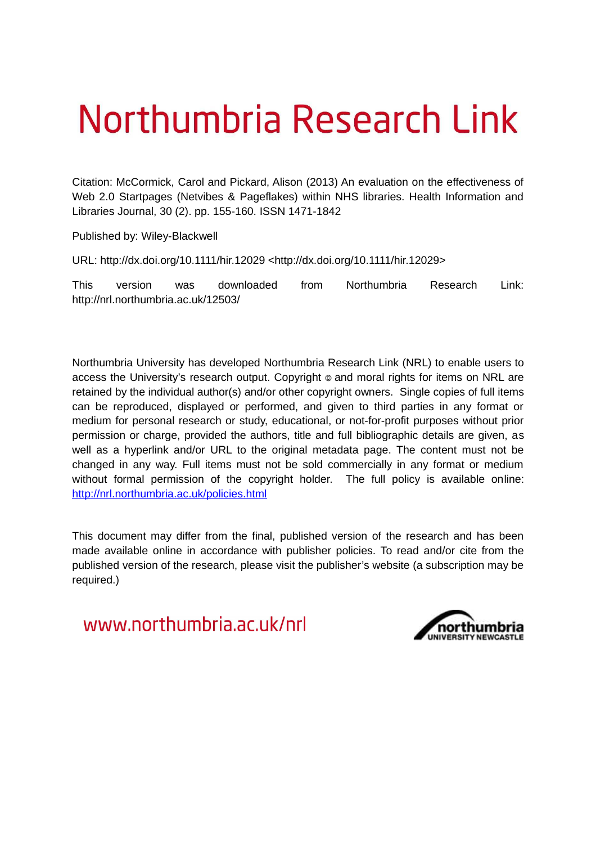# Northumbria Research Link

Citation: McCormick, Carol and Pickard, Alison (2013) An evaluation on the effectiveness of Web 2.0 Startpages (Netvibes & Pageflakes) within NHS libraries. Health Information and Libraries Journal, 30 (2). pp. 155-160. ISSN 1471-1842

Published by: Wiley-Blackwell

URL: http://dx.doi.org/10.1111/hir.12029 <http://dx.doi.org/10.1111/hir.12029>

This version was downloaded from Northumbria Research Link: http://nrl.northumbria.ac.uk/12503/

Northumbria University has developed Northumbria Research Link (NRL) to enable users to access the University's research output. Copyright  $\circ$  and moral rights for items on NRL are retained by the individual author(s) and/or other copyright owners. Single copies of full items can be reproduced, displayed or performed, and given to third parties in any format or medium for personal research or study, educational, or not-for-profit purposes without prior permission or charge, provided the authors, title and full bibliographic details are given, as well as a hyperlink and/or URL to the original metadata page. The content must not be changed in any way. Full items must not be sold commercially in any format or medium without formal permission of the copyright holder. The full policy is available online: <http://nrl.northumbria.ac.uk/policies.html>

This document may differ from the final, published version of the research and has been made available online in accordance with publisher policies. To read and/or cite from the published version of the research, please visit the publisher's website (a subscription may be required.)

www.northumbria.ac.uk/nrl

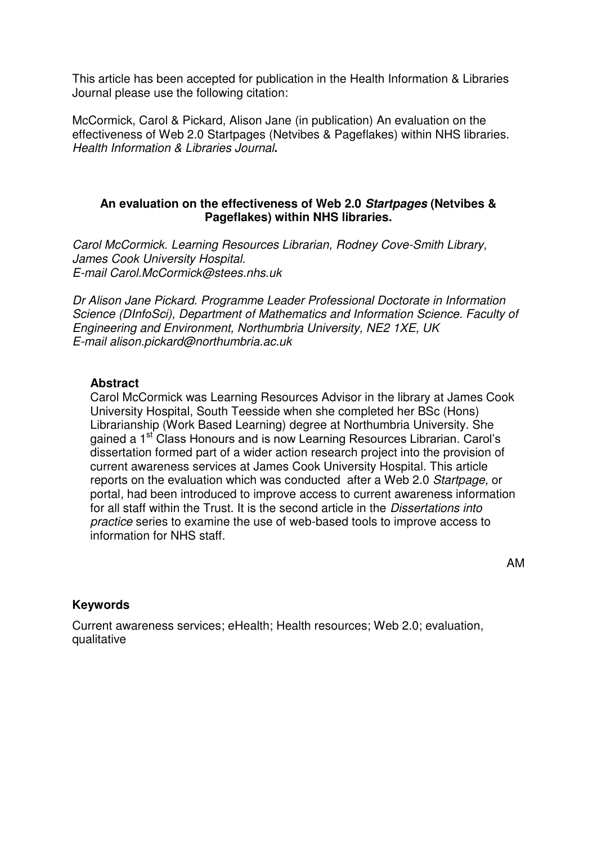This article has been accepted for publication in the Health Information & Libraries Journal please use the following citation:

McCormick, Carol & Pickard, Alison Jane (in publication) An evaluation on the effectiveness of Web 2.0 Startpages (Netvibes & Pageflakes) within NHS libraries. *Health Information & Libraries Journal***.** 

# **An evaluation on the effectiveness of Web 2.0** *Startpages* **(Netvibes & Pageflakes) within NHS libraries.**

*Carol McCormick. Learning Resources Librarian, Rodney Cove-Smith Library, James Cook University Hospital. E-mail Carol.McCormick@stees.nhs.uk* 

*Dr Alison Jane Pickard. Programme Leader Professional Doctorate in Information Science (DInfoSci), Department of Mathematics and Information Science. Faculty of Engineering and Environment, Northumbria University, NE2 1XE, UK E-mail alison.pickard@northumbria.ac.uk* 

#### **Abstract**

Carol McCormick was Learning Resources Advisor in the library at James Cook University Hospital, South Teesside when she completed her BSc (Hons) Librarianship (Work Based Learning) degree at Northumbria University. She gained a 1<sup>st</sup> Class Honours and is now Learning Resources Librarian. Carol's dissertation formed part of a wider action research project into the provision of current awareness services at James Cook University Hospital. This article reports on the evaluation which was conducted after a Web 2.0 *Startpage,* or portal*,* had been introduced to improve access to current awareness information for all staff within the Trust. It is the second article in the *Dissertations into practice* series to examine the use of web-based tools to improve access to information for NHS staff.

AM

# **Keywords**

Current awareness services; eHealth; Health resources; Web 2.0; evaluation, qualitative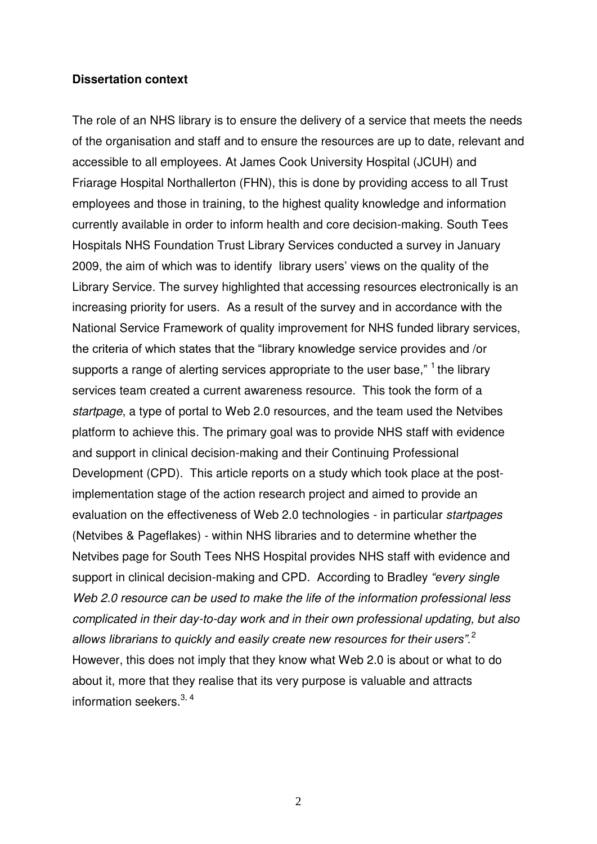#### **Dissertation context**

The role of an NHS library is to ensure the delivery of a service that meets the needs of the organisation and staff and to ensure the resources are up to date, relevant and accessible to all employees. At James Cook University Hospital (JCUH) and Friarage Hospital Northallerton (FHN), this is done by providing access to all Trust employees and those in training, to the highest quality knowledge and information currently available in order to inform health and core decision-making. South Tees Hospitals NHS Foundation Trust Library Services conducted a survey in January 2009, the aim of which was to identify library users' views on the quality of the Library Service. The survey highlighted that accessing resources electronically is an increasing priority for users. As a result of the survey and in accordance with the National Service Framework of quality improvement for NHS funded library services, the criteria of which states that the "library knowledge service provides and /or supports a range of alerting services appropriate to the user base,"  $1$  the library services team created a current awareness resource. This took the form of a *startpage*, a type of portal to Web 2.0 resources, and the team used the Netvibes platform to achieve this. The primary goal was to provide NHS staff with evidence and support in clinical decision-making and their Continuing Professional Development (CPD). This article reports on a study which took place at the postimplementation stage of the action research project and aimed to provide an evaluation on the effectiveness of Web 2.0 technologies - in particular *startpages* (Netvibes & Pageflakes) - within NHS libraries and to determine whether the Netvibes page for South Tees NHS Hospital provides NHS staff with evidence and support in clinical decision-making and CPD. According to Bradley *"every single Web 2.0 resource can be used to make the life of the information professional less complicated in their day-to-day work and in their own professional updating, but also allows librarians to quickly and easily create new resources for their users".*<sup>2</sup> However, this does not imply that they know what Web 2.0 is about or what to do about it, more that they realise that its very purpose is valuable and attracts information seekers.<sup>3, 4</sup>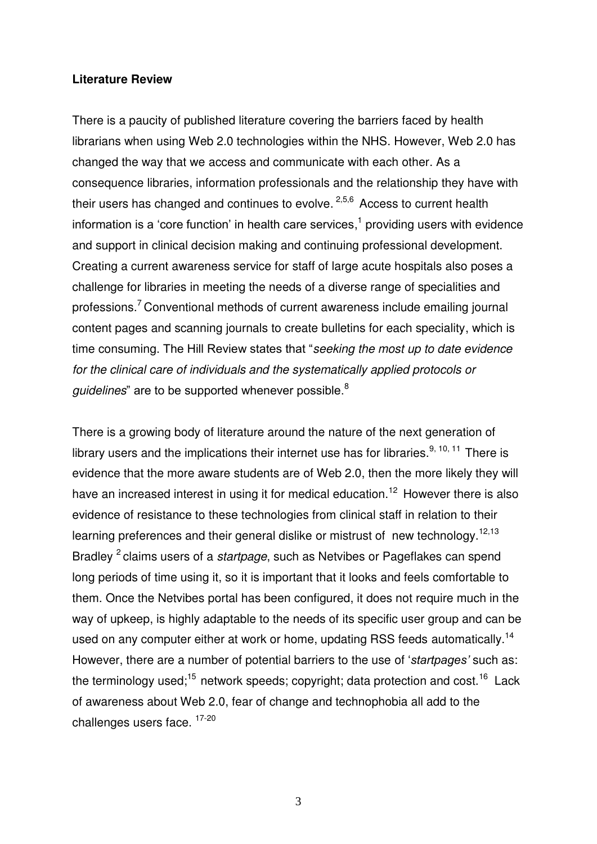#### **Literature Review**

There is a paucity of published literature covering the barriers faced by health librarians when using Web 2.0 technologies within the NHS. However, Web 2.0 has changed the way that we access and communicate with each other. As a consequence libraries, information professionals and the relationship they have with their users has changed and continues to evolve.  $2,5,6$  Access to current health information is a 'core function' in health care services,<sup>1</sup> providing users with evidence and support in clinical decision making and continuing professional development. Creating a current awareness service for staff of large acute hospitals also poses a challenge for libraries in meeting the needs of a diverse range of specialities and professions.<sup>7</sup>Conventional methods of current awareness include emailing journal content pages and scanning journals to create bulletins for each speciality, which is time consuming. The Hill Review states that "*seeking the most up to date evidence for the clinical care of individuals and the systematically applied protocols or*  guidelines" are to be supported whenever possible.<sup>8</sup>

There is a growing body of literature around the nature of the next generation of library users and the implications their internet use has for libraries.<sup>9, 10, 11</sup> There is evidence that the more aware students are of Web 2.0, then the more likely they will have an increased interest in using it for medical education.<sup>12</sup> However there is also evidence of resistance to these technologies from clinical staff in relation to their learning preferences and their general dislike or mistrust of new technology.<sup>12,13</sup> Bradley <sup>2</sup>claims users of a *startpage*, such as Netvibes or Pageflakes can spend long periods of time using it, so it is important that it looks and feels comfortable to them. Once the Netvibes portal has been configured, it does not require much in the way of upkeep, is highly adaptable to the needs of its specific user group and can be used on any computer either at work or home, updating RSS feeds automatically.<sup>14</sup> However, there are a number of potential barriers to the use of '*startpages'* such as: the terminology used;<sup>15</sup> network speeds; copyright; data protection and cost.<sup>16</sup> Lack of awareness about Web 2.0, fear of change and technophobia all add to the challenges users face. 17-20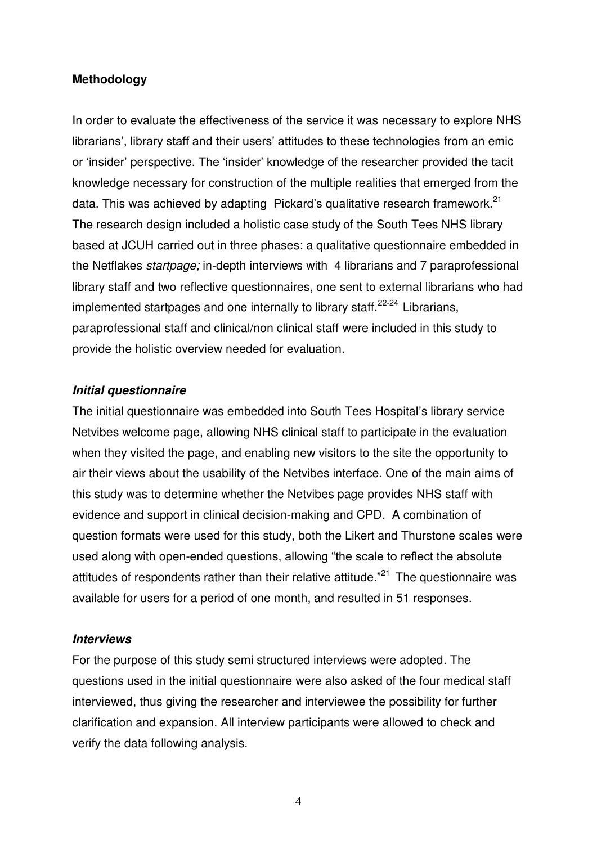#### **Methodology**

In order to evaluate the effectiveness of the service it was necessary to explore NHS librarians', library staff and their users' attitudes to these technologies from an emic or 'insider' perspective. The 'insider' knowledge of the researcher provided the tacit knowledge necessary for construction of the multiple realities that emerged from the data. This was achieved by adapting Pickard's qualitative research framework.<sup>21</sup> The research design included a holistic case study of the South Tees NHS library based at JCUH carried out in three phases: a qualitative questionnaire embedded in the Netflakes *startpage;* in-depth interviews with 4 librarians and 7 paraprofessional library staff and two reflective questionnaires, one sent to external librarians who had implemented startpages and one internally to library staff.<sup>22-24</sup> Librarians, paraprofessional staff and clinical/non clinical staff were included in this study to provide the holistic overview needed for evaluation.

#### *Initial questionnaire*

The initial questionnaire was embedded into South Tees Hospital's library service Netvibes welcome page, allowing NHS clinical staff to participate in the evaluation when they visited the page, and enabling new visitors to the site the opportunity to air their views about the usability of the Netvibes interface. One of the main aims of this study was to determine whether the Netvibes page provides NHS staff with evidence and support in clinical decision-making and CPD. A combination of question formats were used for this study, both the Likert and Thurstone scales were used along with open-ended questions, allowing "the scale to reflect the absolute attitudes of respondents rather than their relative attitude. $^{21}$  The questionnaire was available for users for a period of one month, and resulted in 51 responses.

#### *Interviews*

For the purpose of this study semi structured interviews were adopted. The questions used in the initial questionnaire were also asked of the four medical staff interviewed, thus giving the researcher and interviewee the possibility for further clarification and expansion. All interview participants were allowed to check and verify the data following analysis.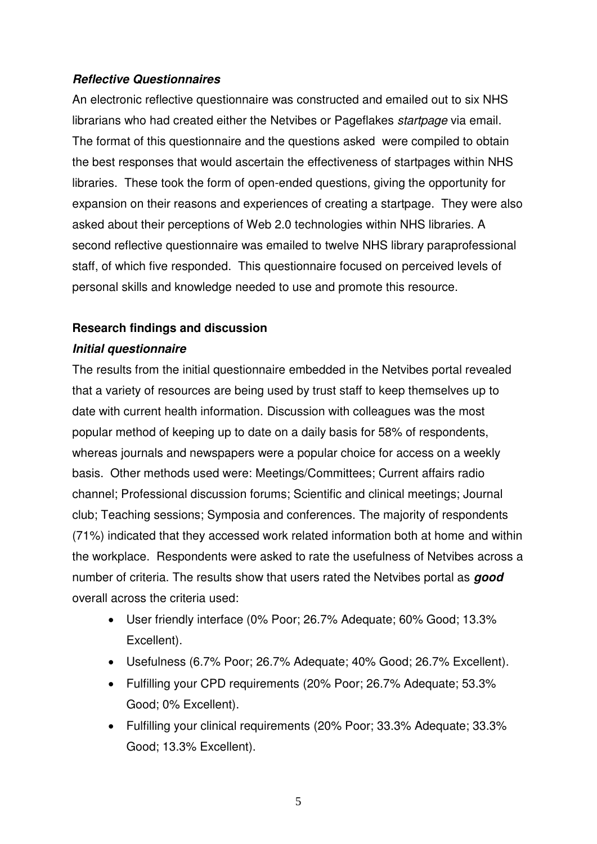# *Reflective Questionnaires*

An electronic reflective questionnaire was constructed and emailed out to six NHS librarians who had created either the Netvibes or Pageflakes *startpage* via email. The format of this questionnaire and the questions asked were compiled to obtain the best responses that would ascertain the effectiveness of startpages within NHS libraries. These took the form of open-ended questions, giving the opportunity for expansion on their reasons and experiences of creating a startpage. They were also asked about their perceptions of Web 2.0 technologies within NHS libraries. A second reflective questionnaire was emailed to twelve NHS library paraprofessional staff, of which five responded. This questionnaire focused on perceived levels of personal skills and knowledge needed to use and promote this resource.

# **Research findings and discussion**

# *Initial questionnaire*

The results from the initial questionnaire embedded in the Netvibes portal revealed that a variety of resources are being used by trust staff to keep themselves up to date with current health information. Discussion with colleagues was the most popular method of keeping up to date on a daily basis for 58% of respondents, whereas journals and newspapers were a popular choice for access on a weekly basis. Other methods used were: Meetings/Committees; Current affairs radio channel; Professional discussion forums; Scientific and clinical meetings; Journal club; Teaching sessions; Symposia and conferences. The majority of respondents (71%) indicated that they accessed work related information both at home and within the workplace. Respondents were asked to rate the usefulness of Netvibes across a number of criteria. The results show that users rated the Netvibes portal as *good* overall across the criteria used:

- User friendly interface (0% Poor; 26.7% Adequate; 60% Good; 13.3% Excellent).
- Usefulness (6.7% Poor; 26.7% Adequate; 40% Good; 26.7% Excellent).
- Fulfilling your CPD requirements (20% Poor; 26.7% Adequate; 53.3% Good; 0% Excellent).
- Fulfilling your clinical requirements (20% Poor; 33.3% Adequate; 33.3% Good; 13.3% Excellent).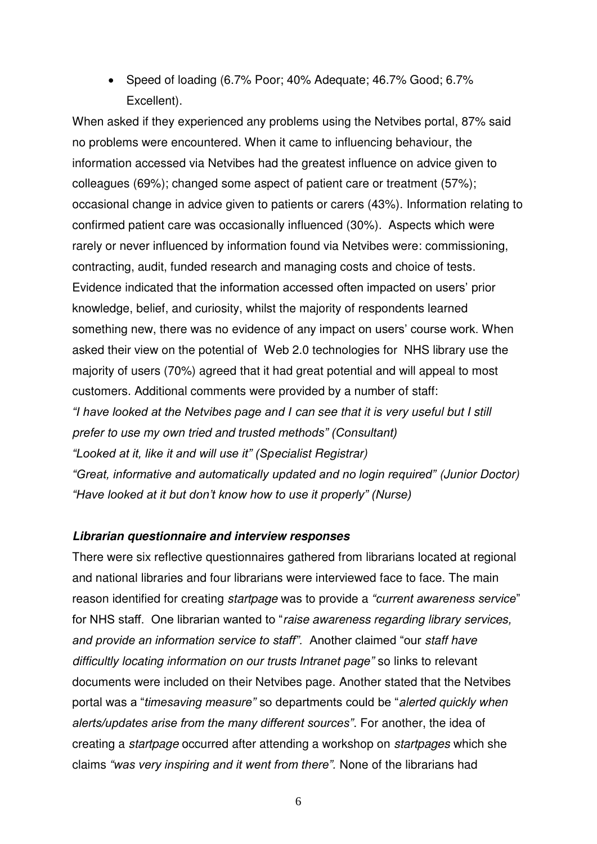• Speed of loading (6.7% Poor; 40% Adequate; 46.7% Good; 6.7% Excellent).

When asked if they experienced any problems using the Netvibes portal, 87% said no problems were encountered. When it came to influencing behaviour, the information accessed via Netvibes had the greatest influence on advice given to colleagues (69%); changed some aspect of patient care or treatment (57%); occasional change in advice given to patients or carers (43%). Information relating to confirmed patient care was occasionally influenced (30%). Aspects which were rarely or never influenced by information found via Netvibes were: commissioning, contracting, audit, funded research and managing costs and choice of tests. Evidence indicated that the information accessed often impacted on users' prior knowledge, belief, and curiosity, whilst the majority of respondents learned something new, there was no evidence of any impact on users' course work. When asked their view on the potential of Web 2.0 technologies for NHS library use the majority of users (70%) agreed that it had great potential and will appeal to most customers. Additional comments were provided by a number of staff: *"I have looked at the Netvibes page and I can see that it is very useful but I still prefer to use my own tried and trusted methods" (Consultant) "Looked at it, like it and will use it" (Specialist Registrar) "Great, informative and automatically updated and no login required" (Junior Doctor) "Have looked at it but don't know how to use it properly" (Nurse)*

# *Librarian questionnaire and interview responses*

There were six reflective questionnaires gathered from librarians located at regional and national libraries and four librarians were interviewed face to face. The main reason identified for creating *startpage* was to provide a *"current awareness service*" for NHS staff. One librarian wanted to "*raise awareness regarding library services, and provide an information service to staff".* Another claimed "our *staff have difficultly locating information on our trusts Intranet page"* so links to relevant documents were included on their Netvibes page. Another stated that the Netvibes portal was a "*timesaving measure"* so departments could be "*alerted quickly when alerts/updates arise from the many different sources"*. For another, the idea of creating a *startpage* occurred after attending a workshop on *startpages* which she claims *"was very inspiring and it went from there".* None of the librarians had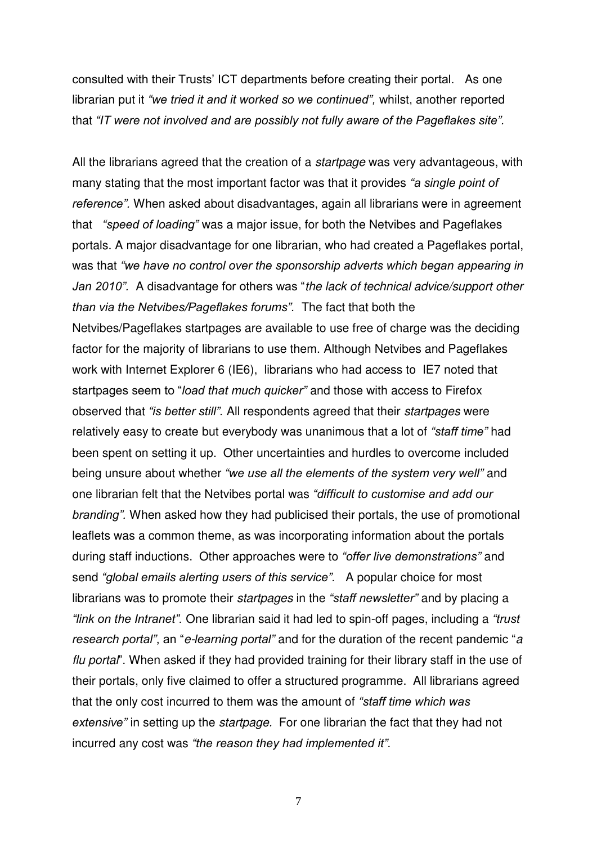consulted with their Trusts' ICT departments before creating their portal. As one librarian put it *"we tried it and it worked so we continued",* whilst, another reported that *"IT were not involved and are possibly not fully aware of the Pageflakes site".*

All the librarians agreed that the creation of a *startpage* was very advantageous, with many stating that the most important factor was that it provides *"a single point of reference".* When asked about disadvantages, again all librarians were in agreement that *"speed of loading"* was a major issue, for both the Netvibes and Pageflakes portals. A major disadvantage for one librarian, who had created a Pageflakes portal, was that *"we have no control over the sponsorship adverts which began appearing in Jan 2010".* A disadvantage for others was "*the lack of technical advice/support other than via the Netvibes/Pageflakes forums".* The fact that both the Netvibes/Pageflakes startpages are available to use free of charge was the deciding factor for the majority of librarians to use them. Although Netvibes and Pageflakes work with Internet Explorer 6 (IE6), librarians who had access to IE7 noted that startpages seem to "*load that much quicker"* and those with access to Firefox observed that *"is better still".* All respondents agreed that their *startpages* were relatively easy to create but everybody was unanimous that a lot of *"staff time"* had been spent on setting it up. Other uncertainties and hurdles to overcome included being unsure about whether *"we use all the elements of the system very well"* and one librarian felt that the Netvibes portal was *"difficult to customise and add our branding".* When asked how they had publicised their portals, the use of promotional leaflets was a common theme, as was incorporating information about the portals during staff inductions. Other approaches were to *"offer live demonstrations"* and send *"global emails alerting users of this service".* A popular choice for most librarians was to promote their *startpages* in the *"staff newsletter"* and by placing a *"link on the Intranet".* One librarian said it had led to spin-off pages, including a *"trust research portal"*, an "*e-learning portal"* and for the duration of the recent pandemic "*a flu portal*". When asked if they had provided training for their library staff in the use of their portals, only five claimed to offer a structured programme. All librarians agreed that the only cost incurred to them was the amount of *"staff time which was extensive"* in setting up the *startpage.* For one librarian the fact that they had not incurred any cost was *"the reason they had implemented it".*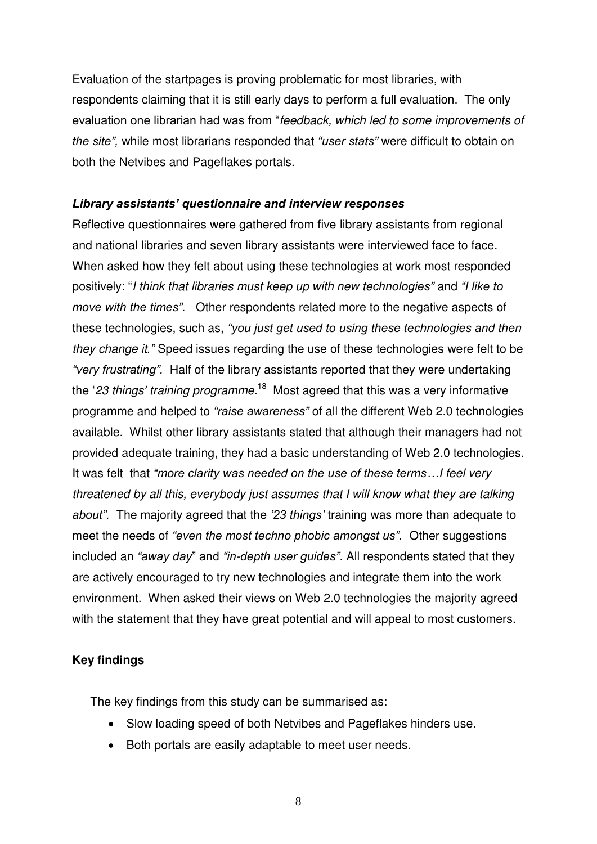Evaluation of the startpages is proving problematic for most libraries, with respondents claiming that it is still early days to perform a full evaluation. The only evaluation one librarian had was from "*feedback, which led to some improvements of the site",* while most librarians responded that *"user stats"* were difficult to obtain on both the Netvibes and Pageflakes portals.

# *Library assistants' questionnaire and interview responses*

Reflective questionnaires were gathered from five library assistants from regional and national libraries and seven library assistants were interviewed face to face. When asked how they felt about using these technologies at work most responded positively: "*I think that libraries must keep up with new technologies"* and *"I like to move with the times".* Other respondents related more to the negative aspects of these technologies, such as, *"you just get used to using these technologies and then they change it."* Speed issues regarding the use of these technologies were felt to be *"very frustrating".* Half of the library assistants reported that they were undertaking the '*23 things' training programme.*<sup>18</sup> Most agreed that this was a very informative programme and helped to *"raise awareness"* of all the different Web 2.0 technologies available. Whilst other library assistants stated that although their managers had not provided adequate training, they had a basic understanding of Web 2.0 technologies. It was felt that *"more clarity was needed on the use of these terms…I feel very threatened by all this, everybody just assumes that I will know what they are talking about".* The majority agreed that the *'23 things'* training was more than adequate to meet the needs of *"even the most techno phobic amongst us".* Other suggestions included an *"away day*" and *"in-depth user guides"*. All respondents stated that they are actively encouraged to try new technologies and integrate them into the work environment. When asked their views on Web 2.0 technologies the majority agreed with the statement that they have great potential and will appeal to most customers.

# **Key findings**

The key findings from this study can be summarised as:

- Slow loading speed of both Netvibes and Pageflakes hinders use.
- Both portals are easily adaptable to meet user needs.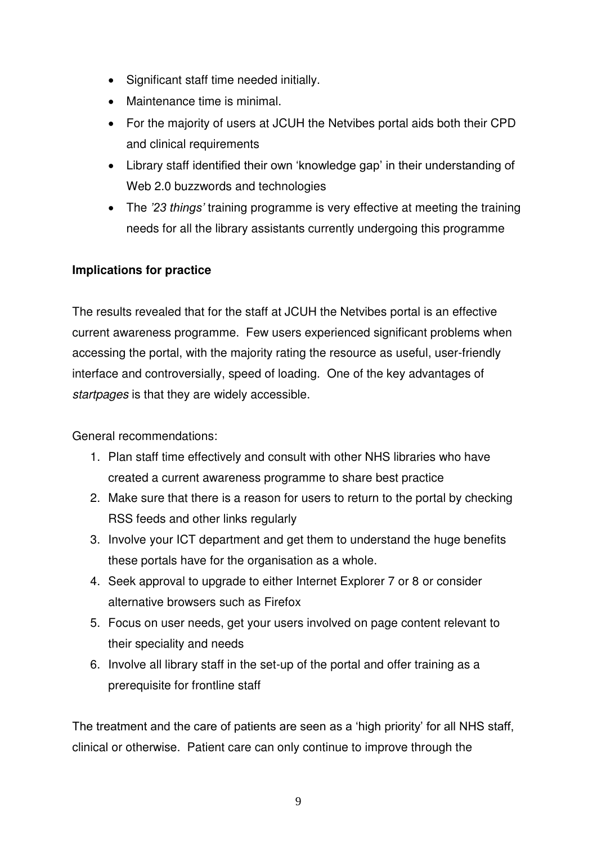- Significant staff time needed initially.
- Maintenance time is minimal.
- For the majority of users at JCUH the Netvibes portal aids both their CPD and clinical requirements
- Library staff identified their own 'knowledge gap' in their understanding of Web 2.0 buzzwords and technologies
- The *'23 things'* training programme is very effective at meeting the training needs for all the library assistants currently undergoing this programme

# **Implications for practice**

The results revealed that for the staff at JCUH the Netvibes portal is an effective current awareness programme. Few users experienced significant problems when accessing the portal, with the majority rating the resource as useful, user-friendly interface and controversially, speed of loading. One of the key advantages of *startpages* is that they are widely accessible.

General recommendations:

- 1. Plan staff time effectively and consult with other NHS libraries who have created a current awareness programme to share best practice
- 2. Make sure that there is a reason for users to return to the portal by checking RSS feeds and other links regularly
- 3. Involve your ICT department and get them to understand the huge benefits these portals have for the organisation as a whole.
- 4. Seek approval to upgrade to either Internet Explorer 7 or 8 or consider alternative browsers such as Firefox
- 5. Focus on user needs, get your users involved on page content relevant to their speciality and needs
- 6. Involve all library staff in the set-up of the portal and offer training as a prerequisite for frontline staff

The treatment and the care of patients are seen as a 'high priority' for all NHS staff, clinical or otherwise. Patient care can only continue to improve through the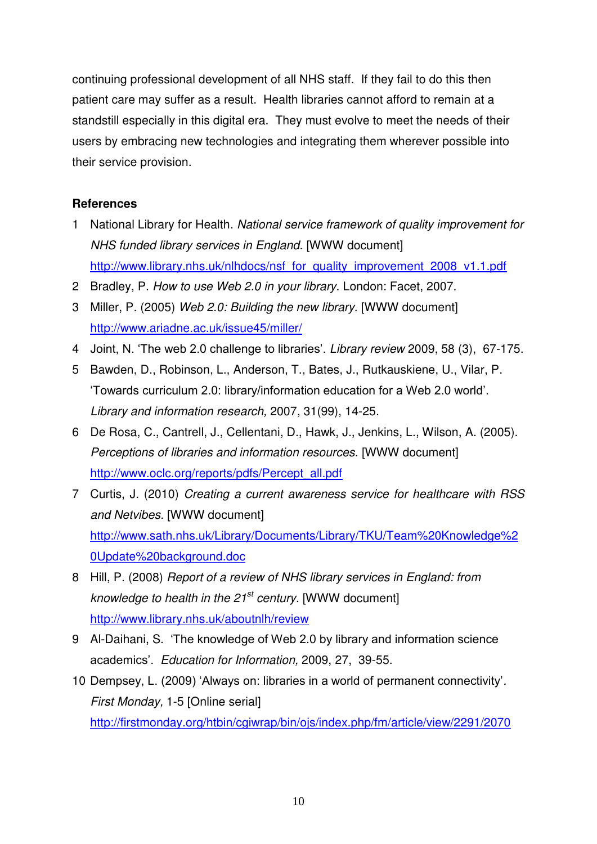continuing professional development of all NHS staff. If they fail to do this then patient care may suffer as a result. Health libraries cannot afford to remain at a standstill especially in this digital era. They must evolve to meet the needs of their users by embracing new technologies and integrating them wherever possible into their service provision.

# **References**

- 1 National Library for Health. *National service framework of quality improvement for NHS funded library services in England.* [WWW document] http://www.library.nhs.uk/nlhdocs/nsf\_for\_quality\_improvement\_2008\_v1.1.pdf
- 2 Bradley, P. *How to use Web 2.0 in your library*. London: Facet, 2007.
- 3 Miller, P. (2005) *Web 2.0: Building the new library.* [WWW document] <http://www.ariadne.ac.uk/issue45/miller/>
- 4 Joint, N. 'The web 2.0 challenge to libraries'. *Library review* 2009, 58 (3), 67-175.
- 5 Bawden, D., Robinson, L., Anderson, T., Bates, J., Rutkauskiene, U., Vilar, P. 'Towards curriculum 2.0: library/information education for a Web 2.0 world'. *Library and information research,* 2007, 31(99), 14-25.
- 6 De Rosa, C., Cantrell, J., Cellentani, D., Hawk, J., Jenkins, L., Wilson, A. (2005). *Perceptions of libraries and information resources.* [WWW document] [http://www.oclc.org/reports/pdfs/Percept\\_all.pdf](http://www.oclc.org/reports/pdfs/Percept_all.pdf)
- 7 Curtis, J. (2010) *Creating a current awareness service for healthcare with RSS and Netvibes.* [WWW document] [http://www.sath.nhs.uk/Library/Documents/Library/TKU/Team%20Knowledge%2](http://www.sath.nhs.uk/Library/Documents/Library/TKU/Team%20Knowledge%20Update%20background.doc) [0Update%20background.doc](http://www.sath.nhs.uk/Library/Documents/Library/TKU/Team%20Knowledge%20Update%20background.doc)
- 8 Hill, P. (2008) *Report of a review of NHS library services in England: from knowledge to health in the 21st century.* [WWW document] <http://www.library.nhs.uk/aboutnlh/review>
- 9 Al-Daihani, S. 'The knowledge of Web 2.0 by library and information science academics'. *Education for Information,* 2009, 27, 39-55.
- 10 Dempsey, L. (2009) 'Always on: libraries in a world of permanent connectivity'*. First Monday,* 1-5 [Online serial] <http://firstmonday.org/htbin/cgiwrap/bin/ojs/index.php/fm/article/view/2291/2070>